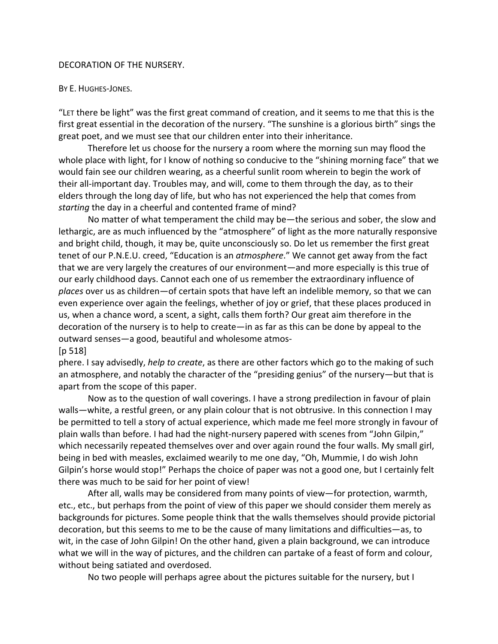## DECORATION OF THE NURSERY.

## BY E. HUGHES-JONES.

"LET there be light" was the first great command of creation, and it seems to me that this is the first great essential in the decoration of the nursery. "The sunshine is a glorious birth" sings the great poet, and we must see that our children enter into their inheritance.

Therefore let us choose for the nursery a room where the morning sun may flood the whole place with light, for I know of nothing so conducive to the "shining morning face" that we would fain see our children wearing, as a cheerful sunlit room wherein to begin the work of their all-important day. Troubles may, and will, come to them through the day, as to their elders through the long day of life, but who has not experienced the help that comes from *starting* the day in a cheerful and contented frame of mind?

No matter of what temperament the child may be—the serious and sober, the slow and lethargic, are as much influenced by the "atmosphere" of light as the more naturally responsive and bright child, though, it may be, quite unconsciously so. Do let us remember the first great tenet of our P.N.E.U. creed, "Education is an *atmosphere*." We cannot get away from the fact that we are very largely the creatures of our environment—and more especially is this true of our early childhood days. Cannot each one of us remember the extraordinary influence of *places* over us as children—of certain spots that have left an indelible memory, so that we can even experience over again the feelings, whether of joy or grief, that these places produced in us, when a chance word, a scent, a sight, calls them forth? Our great aim therefore in the decoration of the nursery is to help to create—in as far as this can be done by appeal to the outward senses—a good, beautiful and wholesome atmos-

[p 518]

phere. I say advisedly, *help to create*, as there are other factors which go to the making of such an atmosphere, and notably the character of the "presiding genius" of the nursery—but that is apart from the scope of this paper.

Now as to the question of wall coverings. I have a strong predilection in favour of plain walls—white, a restful green, or any plain colour that is not obtrusive. In this connection I may be permitted to tell a story of actual experience, which made me feel more strongly in favour of plain walls than before. I had had the night-nursery papered with scenes from "John Gilpin," which necessarily repeated themselves over and over again round the four walls. My small girl, being in bed with measles, exclaimed wearily to me one day, "Oh, Mummie, I do wish John Gilpin's horse would stop!" Perhaps the choice of paper was not a good one, but I certainly felt there was much to be said for her point of view!

After all, walls may be considered from many points of view—for protection, warmth, etc., etc., but perhaps from the point of view of this paper we should consider them merely as backgrounds for pictures. Some people think that the walls themselves should provide pictorial decoration, but this seems to me to be the cause of many limitations and difficulties—as, to wit, in the case of John Gilpin! On the other hand, given a plain background, we can introduce what we will in the way of pictures, and the children can partake of a feast of form and colour, without being satiated and overdosed.

No two people will perhaps agree about the pictures suitable for the nursery, but I